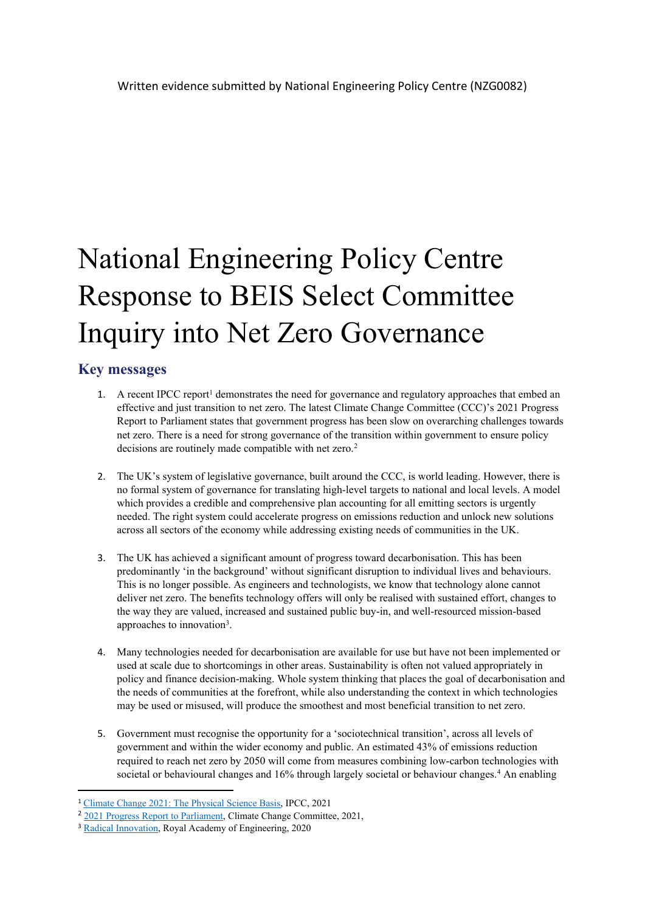# National Engineering Policy Centre Response to BEIS Select Committee Inquiry into Net Zero Governance

## **Key messages**

- 1. A recent IPCC report<sup>1</sup> demonstrates the need for governance and regulatory approaches that embed an effective and just transition to net zero. The latest Climate Change Committee (CCC)'s 2021 Progress Report to Parliament states that government progress has been slow on overarching challenges towards net zero. There is a need for strong governance of the transition within government to ensure policy decisions are routinely made compatible with net zero.<sup>2</sup>
- 2. The UK's system of legislative governance, built around the CCC, is world leading. However, there is no formal system of governance for translating high-level targets to national and local levels. A model which provides a credible and comprehensive plan accounting for all emitting sectors is urgently needed. The right system could accelerate progress on emissions reduction and unlock new solutions across all sectors of the economy while addressing existing needs of communities in the UK.
- 3. The UK has achieved a significant amount of progress toward decarbonisation. This has been predominantly 'in the background' without significant disruption to individual lives and behaviours. This is no longer possible. As engineers and technologists, we know that technology alone cannot deliver net zero. The benefits technology offers will only be realised with sustained effort, changes to the way they are valued, increased and sustained public buy-in, and well-resourced mission-based approaches to innovation<sup>3</sup>.
- 4. Many technologies needed for decarbonisation are available for use but have not been implemented or used at scale due to shortcomings in other areas. Sustainability is often not valued appropriately in policy and finance decision-making. Whole system thinking that places the goal of decarbonisation and the needs of communities at the forefront, while also understanding the context in which technologies may be used or misused, will produce the smoothest and most beneficial transition to net zero.
- 5. Government must recognise the opportunity for a 'sociotechnical transition', across all levels of government and within the wider economy and public. An estimated 43% of emissions reduction required to reach net zero by 2050 will come from measures combining low-carbon technologies with societal or behavioural changes and 16% through largely societal or behaviour changes.<sup>4</sup> An enabling

<sup>1</sup> [Climate](https://www.ipcc.ch/report/sixth-assessment-report-working-group-i/) [Change](https://www.ipcc.ch/report/sixth-assessment-report-working-group-i/) [2021:](https://www.ipcc.ch/report/sixth-assessment-report-working-group-i/) [The](https://www.ipcc.ch/report/sixth-assessment-report-working-group-i/) [Physical](https://www.ipcc.ch/report/sixth-assessment-report-working-group-i/) [Science](https://www.ipcc.ch/report/sixth-assessment-report-working-group-i/) [Basis,](https://www.ipcc.ch/report/sixth-assessment-report-working-group-i/) IPCC, 2021

<sup>&</sup>lt;sup>2</sup> [2021](https://www.theccc.org.uk/publication/2021-progress-report-to-parliament/) [Progress](https://www.theccc.org.uk/publication/2021-progress-report-to-parliament/) [Report](https://www.theccc.org.uk/publication/2021-progress-report-to-parliament/) [to](https://www.theccc.org.uk/publication/2021-progress-report-to-parliament/) [Parliament,](https://www.theccc.org.uk/publication/2021-progress-report-to-parliament/) Climate Change Committee, 2021,

<sup>&</sup>lt;sup>3</sup> [Radical](https://www.raeng.org.uk/publications/briefings-statements-letters/a-blueprint-for-radical-innovation) [Innovation,](https://www.raeng.org.uk/publications/briefings-statements-letters/a-blueprint-for-radical-innovation) Royal Academy of Engineering, 2020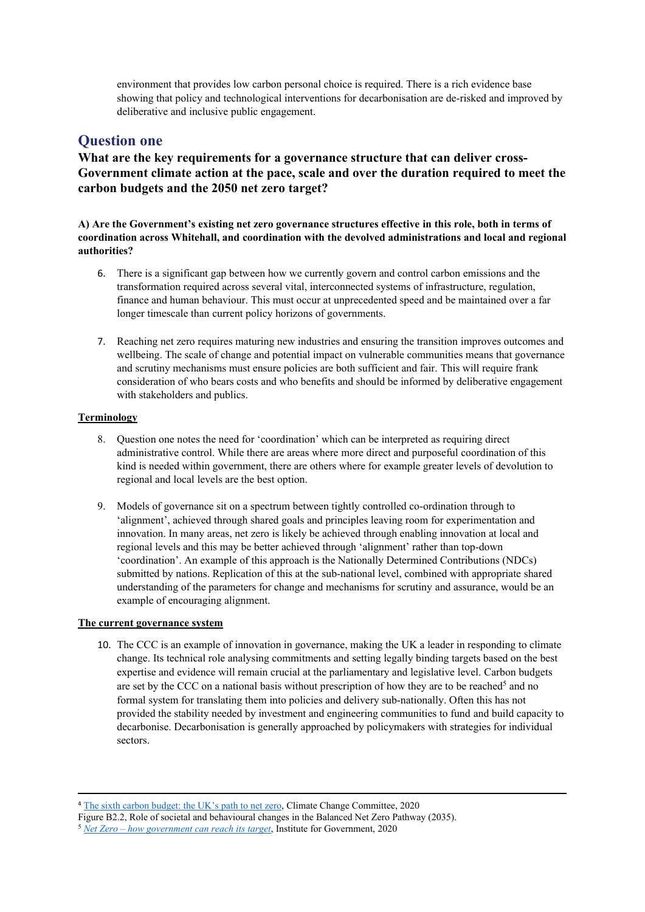environment that provides low carbon personal choice is required. There is a rich evidence base showing that policy and technological interventions for decarbonisation are de-risked and improved by deliberative and inclusive public engagement.

## **Question one**

**What are the key requirements for a governance structure that can deliver cross-Government climate action at the pace, scale and over the duration required to meet the carbon budgets and the 2050 net zero target?**

**A) Are the Government's existing net zero governance structures effective in this role, both in terms of coordination across Whitehall, and coordination with the devolved administrations and local and regional authorities?**

- 6. There is a significant gap between how we currently govern and control carbon emissions and the transformation required across several vital, interconnected systems of infrastructure, regulation, finance and human behaviour. This must occur at unprecedented speed and be maintained over a far longer timescale than current policy horizons of governments.
- 7. Reaching net zero requires maturing new industries and ensuring the transition improves outcomes and wellbeing. The scale of change and potential impact on vulnerable communities means that governance and scrutiny mechanisms must ensure policies are both sufficient and fair. This will require frank consideration of who bears costs and who benefits and should be informed by deliberative engagement with stakeholders and publics.

#### **Terminology**

- 8. Question one notes the need for 'coordination' which can be interpreted as requiring direct administrative control. While there are areas where more direct and purposeful coordination of this kind is needed within government, there are others where for example greater levels of devolution to regional and local levels are the best option.
- 9. Models of governance sit on a spectrum between tightly controlled co-ordination through to 'alignment', achieved through shared goals and principles leaving room for experimentation and innovation. In many areas, net zero is likely be achieved through enabling innovation at local and regional levels and this may be better achieved through 'alignment' rather than top-down 'coordination'. An example of this approach is the Nationally Determined Contributions (NDCs) submitted by nations. Replication of this at the sub-national level, combined with appropriate shared understanding of the parameters for change and mechanisms for scrutiny and assurance, would be an example of encouraging alignment.

#### **The current governance system**

10. The CCC is an example of innovation in governance, making the UK a leader in responding to climate change. Its technical role analysing commitments and setting legally binding targets based on the best expertise and evidence will remain crucial at the parliamentary and legislative level. Carbon budgets are set by the CCC on a national basis without prescription of how they are to be reached<sup>5</sup> and no formal system for translating them into policies and delivery sub-nationally. Often this has not provided the stability needed by investment and engineering communities to fund and build capacity to decarbonise. Decarbonisation is generally approached by policymakers with strategies for individual sectors.

<sup>4</sup> [The](https://www.theccc.org.uk/publication/sixth-carbon-budget/) [sixth](https://www.theccc.org.uk/publication/sixth-carbon-budget/) [carbon](https://www.theccc.org.uk/publication/sixth-carbon-budget/) [budget:](https://www.theccc.org.uk/publication/sixth-carbon-budget/) [the](https://www.theccc.org.uk/publication/sixth-carbon-budget/) [UK's](https://www.theccc.org.uk/publication/sixth-carbon-budget/) [path](https://www.theccc.org.uk/publication/sixth-carbon-budget/) [to](https://www.theccc.org.uk/publication/sixth-carbon-budget/) [net](https://www.theccc.org.uk/publication/sixth-carbon-budget/) [zero,](https://www.theccc.org.uk/publication/sixth-carbon-budget/) Climate Change Committee, 2020

Figure B2.2, Role of societal and behavioural changes in the Balanced Net Zero Pathway (2035).

<sup>5</sup> *[Net](https://www.research.ed.ac.uk/en/publications/mapping-emerging-subcontracting-networks-for-the-energy-efficienc) [Zero](https://www.research.ed.ac.uk/en/publications/mapping-emerging-subcontracting-networks-for-the-energy-efficienc) [–](https://www.research.ed.ac.uk/en/publications/mapping-emerging-subcontracting-networks-for-the-energy-efficienc) [how](https://www.research.ed.ac.uk/en/publications/mapping-emerging-subcontracting-networks-for-the-energy-efficienc) [government](https://www.research.ed.ac.uk/en/publications/mapping-emerging-subcontracting-networks-for-the-energy-efficienc) [can](https://www.research.ed.ac.uk/en/publications/mapping-emerging-subcontracting-networks-for-the-energy-efficienc) [reach](https://www.research.ed.ac.uk/en/publications/mapping-emerging-subcontracting-networks-for-the-energy-efficienc) [its](https://www.research.ed.ac.uk/en/publications/mapping-emerging-subcontracting-networks-for-the-energy-efficienc) [target](https://www.research.ed.ac.uk/en/publications/mapping-emerging-subcontracting-networks-for-the-energy-efficienc)*, Institute for Government, 2020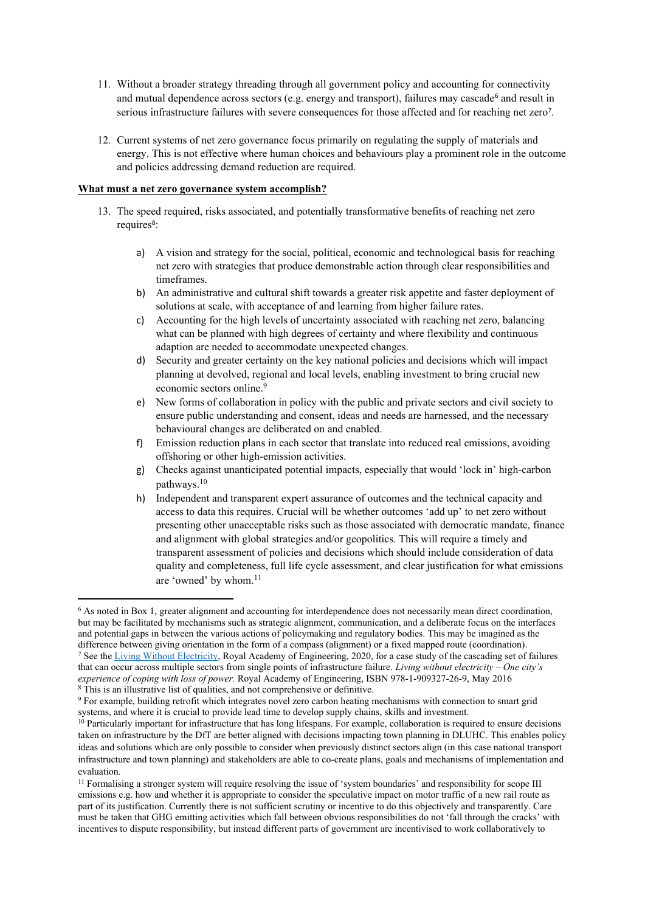- 11. Without a broader strategy threading through all government policy and accounting for connectivity and mutual dependence across sectors (e.g. energy and transport), failures may cascade<sup>6</sup> and result in serious infrastructure failures with severe consequences for those affected and for reaching net zero<sup>7</sup>.
- 12. Current systems of net zero governance focus primarily on regulating the supply of materials and energy. This is not effective where human choices and behaviours play a prominent role in the outcome and policies addressing demand reduction are required.

#### **What must a net zero governance system accomplish?**

- 13. The speed required, risks associated, and potentially transformative benefits of reaching net zero requires<sup>8</sup>:
	- a) A vision and strategy for the social, political, economic and technological basis for reaching net zero with strategies that produce demonstrable action through clear responsibilities and timeframes.
	- b) An administrative and cultural shift towards a greater risk appetite and faster deployment of solutions at scale, with acceptance of and learning from higher failure rates.
	- c) Accounting for the high levels of uncertainty associated with reaching net zero, balancing what can be planned with high degrees of certainty and where flexibility and continuous adaption are needed to accommodate unexpected changes.
	- d) Security and greater certainty on the key national policies and decisions which will impact planning at devolved, regional and local levels, enabling investment to bring crucial new economic sectors online.<sup>9</sup>
	- e) New forms of collaboration in policy with the public and private sectors and civil society to ensure public understanding and consent, ideas and needs are harnessed, and the necessary behavioural changes are deliberated on and enabled.
	- f) Emission reduction plans in each sector that translate into reduced real emissions, avoiding offshoring or other high-emission activities.
	- g) Checks against unanticipated potential impacts, especially that would 'lock in' high-carbon pathways.<sup>10</sup>
	- h) Independent and transparent expert assurance of outcomes and the technical capacity and access to data this requires. Crucial will be whether outcomes 'add up' to net zero without presenting other unacceptable risks such as those associated with democratic mandate, finance and alignment with global strategies and/or geopolitics. This will require a timely and transparent assessment of policies and decisions which should include consideration of data quality and completeness, full life cycle assessment, and clear justification for what emissions are 'owned' by whom.<sup>11</sup>

<sup>6</sup> As noted in Box 1, greater alignment and accounting for interdependence does not necessarily mean direct coordination, but may be facilitated by mechanisms such as strategic alignment, communication, and a deliberate focus on the interfaces and potential gaps in between the various actions of policymaking and regulatory bodies. This may be imagined as the difference betw[e](https://www.raeng.org.uk/publications/reports/living-without-electricity)en giving orientation in the form of a compass (alignment) or a fixed mapped route (coordination). <sup>7</sup> See the [Living](https://www.raeng.org.uk/publications/reports/living-without-electricity) [Without](https://www.raeng.org.uk/publications/reports/living-without-electricity) [Electricity](https://www.raeng.org.uk/publications/reports/living-without-electricity), Royal Academy of Engineering, 2020, for a case study of the cascading set of failures that can occur across multiple sectors from single points of infrastructure failure. *Living without electricity – One city's experience of coping with loss of power.* Royal Academy of Engineering, ISBN 978-1-909327-26-9, May 2016

<sup>8</sup> This is an illustrative list of qualities, and not comprehensive or definitive.

<sup>9</sup> For example, building retrofit which integrates novel zero carbon heating mechanisms with connection to smart grid systems, and where it is crucial to provide lead time to develop supply chains, skills and investment.

<sup>&</sup>lt;sup>10</sup> Particularly important for infrastructure that has long lifespans. For example, collaboration is required to ensure decisions taken on infrastructure by the DfT are better aligned with decisions impacting town planning in DLUHC. This enables policy ideas and solutions which are only possible to consider when previously distinct sectors align (in this case national transport infrastructure and town planning) and stakeholders are able to co-create plans, goals and mechanisms of implementation and evaluation.

<sup>11</sup> Formalising a stronger system will require resolving the issue of 'system boundaries' and responsibility for scope III emissions e.g. how and whether it is appropriate to consider the speculative impact on motor traffic of a new rail route as part of its justification. Currently there is not sufficient scrutiny or incentive to do this objectively and transparently. Care must be taken that GHG emitting activities which fall between obvious responsibilities do not 'fall through the cracks' with incentives to dispute responsibility, but instead different parts of government are incentivised to work collaboratively to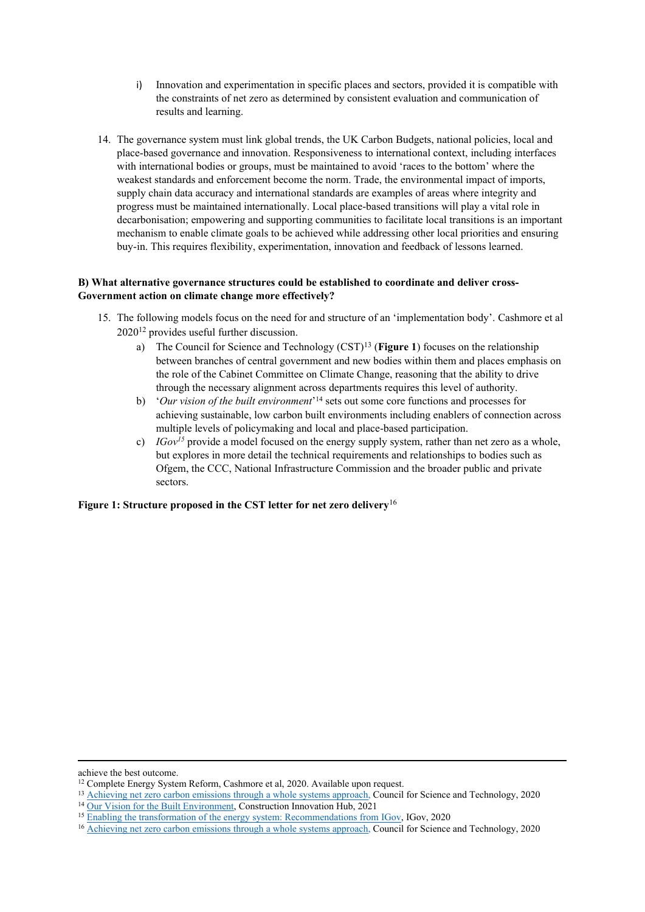- i) Innovation and experimentation in specific places and sectors, provided it is compatible with the constraints of net zero as determined by consistent evaluation and communication of results and learning.
- 14. The governance system must link global trends, the UK Carbon Budgets, national policies, local and place-based governance and innovation. Responsiveness to international context, including interfaces with international bodies or groups, must be maintained to avoid 'races to the bottom' where the weakest standards and enforcement become the norm. Trade, the environmental impact of imports, supply chain data accuracy and international standards are examples of areas where integrity and progress must be maintained internationally. Local place-based transitions will play a vital role in decarbonisation; empowering and supporting communities to facilitate local transitions is an important mechanism to enable climate goals to be achieved while addressing other local priorities and ensuring buy-in. This requires flexibility, experimentation, innovation and feedback of lessons learned.

#### **B) What alternative governance structures could be established to coordinate and deliver cross-Government action on climate change more effectively?**

- 15. The following models focus on the need for and structure of an 'implementation body'. Cashmore et al 2020<sup>12</sup> provides useful further discussion.
	- a) The Council for Science and Technology (CST)<sup>13</sup> (**Figure 1**) focuses on the relationship between branches of central government and new bodies within them and places emphasis on the role of the Cabinet Committee on Climate Change, reasoning that the ability to drive through the necessary alignment across departments requires this level of authority.
	- b) '*Our vision of the built environment*' <sup>14</sup> sets out some core functions and processes for achieving sustainable, low carbon built environments including enablers of connection across multiple levels of policymaking and local and place-based participation.
	- c) *IGov<sup>15</sup>* provide a model focused on the energy supply system, rather than net zero as a whole, but explores in more detail the technical requirements and relationships to bodies such as Ofgem, the CCC, National Infrastructure Commission and the broader public and private sectors.

#### **Figure 1: Structure proposed in the CST letter for net zero delivery**<sup>16</sup>

achieve the best outcome.

<sup>&</sup>lt;sup>12</sup> Complete Energy System Reform, Cashmore et al, 2020. Available upon request.

<sup>&</sup>lt;sup>13</sup> [Achieving](https://www.gov.uk/government/publications/achieving-net-zero-carbon-emissions-through-a-whole-systems-approach) [net](https://www.gov.uk/government/publications/achieving-net-zero-carbon-emissions-through-a-whole-systems-approach) [zero](https://www.gov.uk/government/publications/achieving-net-zero-carbon-emissions-through-a-whole-systems-approach) [carbon](https://www.gov.uk/government/publications/achieving-net-zero-carbon-emissions-through-a-whole-systems-approach) [emissions](https://www.gov.uk/government/publications/achieving-net-zero-carbon-emissions-through-a-whole-systems-approach) [through](https://www.gov.uk/government/publications/achieving-net-zero-carbon-emissions-through-a-whole-systems-approach) [a](https://www.gov.uk/government/publications/achieving-net-zero-carbon-emissions-through-a-whole-systems-approach) [whole](https://www.gov.uk/government/publications/achieving-net-zero-carbon-emissions-through-a-whole-systems-approach) [systems](https://www.gov.uk/government/publications/achieving-net-zero-carbon-emissions-through-a-whole-systems-approach) [approach,](https://www.gov.uk/government/publications/achieving-net-zero-carbon-emissions-through-a-whole-systems-approach) Council for Science and Technology, 2020

<sup>&</sup>lt;sup>14</sup> [Our](https://constructioninnovationhub.org.uk/news/vision-for-the-built-environment/#:~:text=The%20vision%20describes%20a%20safe,future%20society%2C%20environment%20and%20economy.) [Vision](https://constructioninnovationhub.org.uk/news/vision-for-the-built-environment/#:~:text=The%20vision%20describes%20a%20safe,future%20society%2C%20environment%20and%20economy.) [for](https://constructioninnovationhub.org.uk/news/vision-for-the-built-environment/#:~:text=The%20vision%20describes%20a%20safe,future%20society%2C%20environment%20and%20economy.) [the](https://constructioninnovationhub.org.uk/news/vision-for-the-built-environment/#:~:text=The%20vision%20describes%20a%20safe,future%20society%2C%20environment%20and%20economy.) [Built](https://constructioninnovationhub.org.uk/news/vision-for-the-built-environment/#:~:text=The%20vision%20describes%20a%20safe,future%20society%2C%20environment%20and%20economy.) [Environment,](https://constructioninnovationhub.org.uk/news/vision-for-the-built-environment/#:~:text=The%20vision%20describes%20a%20safe,future%20society%2C%20environment%20and%20economy.) Co[n](http://projects.exeter.ac.uk/igov/wp-content/uploads/2019/04/IGov-Enabling-the-transformation-of-the-energy-system-Sept2019.pdf)struction Innovation Hub, [2](http://projects.exeter.ac.uk/igov/wp-content/uploads/2019/04/IGov-Enabling-the-transformation-of-the-energy-system-Sept2019.pdf)021

<sup>15</sup> [Enabling](http://projects.exeter.ac.uk/igov/wp-content/uploads/2019/04/IGov-Enabling-the-transformation-of-the-energy-system-Sept2019.pdf) [the](http://projects.exeter.ac.uk/igov/wp-content/uploads/2019/04/IGov-Enabling-the-transformation-of-the-energy-system-Sept2019.pdf) [transformation](http://projects.exeter.ac.uk/igov/wp-content/uploads/2019/04/IGov-Enabling-the-transformation-of-the-energy-system-Sept2019.pdf) [of](http://projects.exeter.ac.uk/igov/wp-content/uploads/2019/04/IGov-Enabling-the-transformation-of-the-energy-system-Sept2019.pdf) [the](http://projects.exeter.ac.uk/igov/wp-content/uploads/2019/04/IGov-Enabling-the-transformation-of-the-energy-system-Sept2019.pdf) [energy](http://projects.exeter.ac.uk/igov/wp-content/uploads/2019/04/IGov-Enabling-the-transformation-of-the-energy-system-Sept2019.pdf) [system:](http://projects.exeter.ac.uk/igov/wp-content/uploads/2019/04/IGov-Enabling-the-transformation-of-the-energy-system-Sept2019.pdf) [Recommendations](http://projects.exeter.ac.uk/igov/wp-content/uploads/2019/04/IGov-Enabling-the-transformation-of-the-energy-system-Sept2019.pdf) [from](http://projects.exeter.ac.uk/igov/wp-content/uploads/2019/04/IGov-Enabling-the-transformation-of-the-energy-system-Sept2019.pdf) [IGov](http://projects.exeter.ac.uk/igov/wp-content/uploads/2019/04/IGov-Enabling-the-transformation-of-the-energy-system-Sept2019.pdf), IGov, 2020

<sup>&</sup>lt;sup>16</sup> [Achieving](https://www.gov.uk/government/publications/achieving-net-zero-carbon-emissions-through-a-whole-systems-approach) [net](https://www.gov.uk/government/publications/achieving-net-zero-carbon-emissions-through-a-whole-systems-approach) [zero](https://www.gov.uk/government/publications/achieving-net-zero-carbon-emissions-through-a-whole-systems-approach) [carbon](https://www.gov.uk/government/publications/achieving-net-zero-carbon-emissions-through-a-whole-systems-approach) [emissions](https://www.gov.uk/government/publications/achieving-net-zero-carbon-emissions-through-a-whole-systems-approach) [through](https://www.gov.uk/government/publications/achieving-net-zero-carbon-emissions-through-a-whole-systems-approach) [a](https://www.gov.uk/government/publications/achieving-net-zero-carbon-emissions-through-a-whole-systems-approach) [whole](https://www.gov.uk/government/publications/achieving-net-zero-carbon-emissions-through-a-whole-systems-approach) [systems](https://www.gov.uk/government/publications/achieving-net-zero-carbon-emissions-through-a-whole-systems-approach) [approach,](https://www.gov.uk/government/publications/achieving-net-zero-carbon-emissions-through-a-whole-systems-approach) Council for Science and Technology, 2020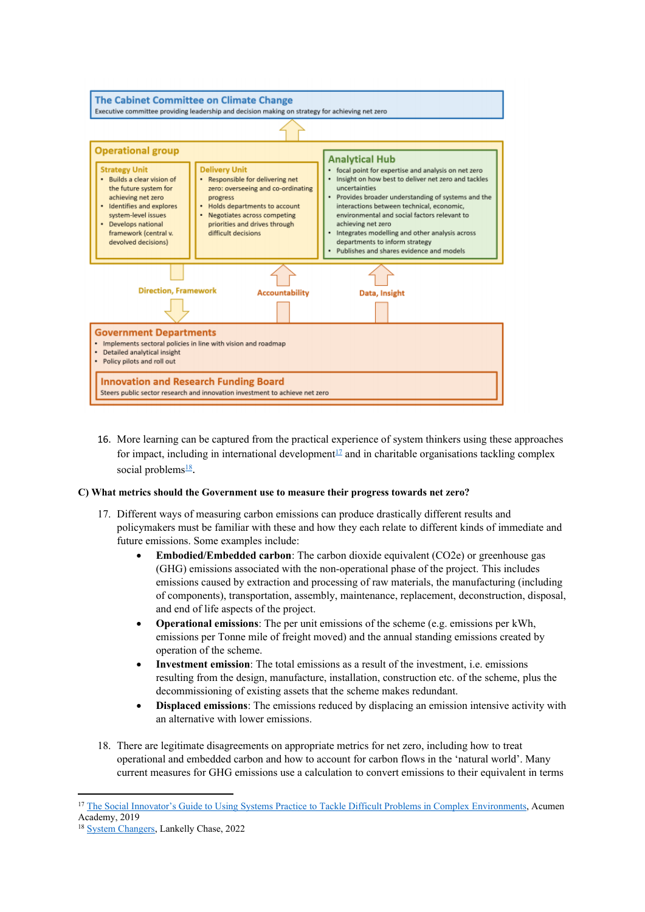

16. More learning can be captured from the practical experience of system thinkers using these approaches for impact, including in international development<sup>17</sup> and in charitable organisations tackling complex social problems<sup>18</sup>.

#### **C) What metrics should the Government use to measure their progress towards net zero?**

- 17. Different ways of measuring carbon emissions can produce drastically different results and policymakers must be familiar with these and how they each relate to different kinds of immediate and future emissions. Some examples include:
	- **Embodied/Embedded carbon**: The carbon dioxide equivalent (CO2e) or greenhouse gas (GHG) emissions associated with the non-operational phase of the project. This includes emissions caused by extraction and processing of raw materials, the manufacturing (including of components), transportation, assembly, maintenance, replacement, deconstruction, disposal, and end of life aspects of the project.
	- **Operational emissions**: The per unit emissions of the scheme (e.g. emissions per kWh, emissions per Tonne mile of freight moved) and the annual standing emissions created by operation of the scheme.
	- **Investment emission**: The total emissions as a result of the investment, i.e. emissions resulting from the design, manufacture, installation, construction etc. of the scheme, plus the decommissioning of existing assets that the scheme makes redundant.
	- **Displaced emissions**: The emissions reduced by displacing an emission intensive activity with an alternative with lower emissions.
- 18. There are legitimate disagreements on appropriate metrics for net zero, including how to treat operational and embedded carbon and how to account for carbon flows in the 'natural world'. Many current measures for GHG emissions use a calculation to convert emissions to their equivalent in terms

<sup>&</sup>lt;sup>17</sup> [The](https://acumenacademy.org/blog/systems-practice-tackle-difficult-problems-complex-for-social-innovators/) [Social](https://acumenacademy.org/blog/systems-practice-tackle-difficult-problems-complex-for-social-innovators/) [Innovator's](https://acumenacademy.org/blog/systems-practice-tackle-difficult-problems-complex-for-social-innovators/) [Guide](https://acumenacademy.org/blog/systems-practice-tackle-difficult-problems-complex-for-social-innovators/) [to](https://acumenacademy.org/blog/systems-practice-tackle-difficult-problems-complex-for-social-innovators/) [Using](https://acumenacademy.org/blog/systems-practice-tackle-difficult-problems-complex-for-social-innovators/) [Systems](https://acumenacademy.org/blog/systems-practice-tackle-difficult-problems-complex-for-social-innovators/) [Practice](https://acumenacademy.org/blog/systems-practice-tackle-difficult-problems-complex-for-social-innovators/) to [Tackle](https://acumenacademy.org/blog/systems-practice-tackle-difficult-problems-complex-for-social-innovators/) [Difficult](https://acumenacademy.org/blog/systems-practice-tackle-difficult-problems-complex-for-social-innovators/) [Problems](https://acumenacademy.org/blog/systems-practice-tackle-difficult-problems-complex-for-social-innovators/) [in](https://acumenacademy.org/blog/systems-practice-tackle-difficult-problems-complex-for-social-innovators/) [Complex](https://acumenacademy.org/blog/systems-practice-tackle-difficult-problems-complex-for-social-innovators/) [Environments](https://acumenacademy.org/blog/systems-practice-tackle-difficult-problems-complex-for-social-innovators/), Acumen Academy, 2019

<sup>18</sup> [System](https://lankellychase.org.uk/systems-changers/) [Changers,](https://lankellychase.org.uk/systems-changers/) Lankelly Chase, 2022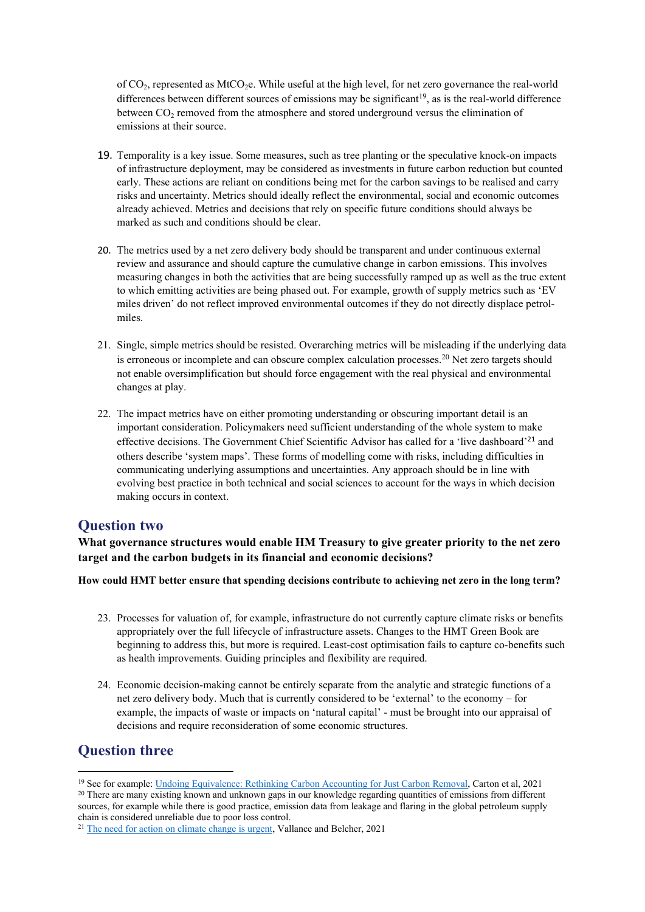of  $CO<sub>2</sub>$ , represented as MtCO<sub>2</sub>e. While useful at the high level, for net zero governance the real-world differences between different sources of emissions may be significant<sup>19</sup>, as is the real-world difference between  $CO<sub>2</sub>$  removed from the atmosphere and stored underground versus the elimination of emissions at their source.

- 19. Temporality is a key issue. Some measures, such as tree planting or the speculative knock-on impacts of infrastructure deployment, may be considered as investments in future carbon reduction but counted early. These actions are reliant on conditions being met for the carbon savings to be realised and carry risks and uncertainty. Metrics should ideally reflect the environmental, social and economic outcomes already achieved. Metrics and decisions that rely on specific future conditions should always be marked as such and conditions should be clear.
- 20. The metrics used by a net zero delivery body should be transparent and under continuous external review and assurance and should capture the cumulative change in carbon emissions. This involves measuring changes in both the activities that are being successfully ramped up as well as the true extent to which emitting activities are being phased out. For example, growth of supply metrics such as 'EV miles driven' do not reflect improved environmental outcomes if they do not directly displace petrolmiles.
- 21. Single, simple metrics should be resisted. Overarching metrics will be misleading if the underlying data is erroneous or incomplete and can obscure complex calculation processes.<sup>20</sup> Net zero targets should not enable oversimplification but should force engagement with the real physical and environmental changes at play.
- 22. The impact metrics have on either promoting understanding or obscuring important detail is an important consideration. Policymakers need sufficient understanding of the whole system to make effective decisions. The Government Chief Scientific Advisor has called for a 'live dashboard'<sup>21</sup> and others describe 'system maps'. These forms of modelling come with risks, including difficulties in communicating underlying assumptions and uncertainties. Any approach should be in line with evolving best practice in both technical and social sciences to account for the ways in which decision making occurs in context.

### **Question two**

**What governance structures would enable HM Treasury to give greater priority to the net zero target and the carbon budgets in its financial and economic decisions?**

**How could HMT better ensure that spending decisions contribute to achieving net zero in the long term?**

- 23. Processes for valuation of, for example, infrastructure do not currently capture climate risks or benefits appropriately over the full lifecycle of infrastructure assets. Changes to the HMT Green Book are beginning to address this, but more is required. Least-cost optimisation fails to capture co-benefits such as health improvements. Guiding principles and flexibility are required.
- 24. Economic decision-making cannot be entirely separate from the analytic and strategic functions of a net zero delivery body. Much that is currently considered to be 'external' to the economy – for example, the impacts of waste or impacts on 'natural capital' - must be brought into our appraisal of decisions and require reconsideration of some economic structures.

# **Question three**

<sup>19</sup> See for example: [Undoing](https://www.frontiersin.org/articles/10.3389/fclim.2021.664130/full) [Equivalence:](https://www.frontiersin.org/articles/10.3389/fclim.2021.664130/full) [Rethinking](https://www.frontiersin.org/articles/10.3389/fclim.2021.664130/full) [Carbon](https://www.frontiersin.org/articles/10.3389/fclim.2021.664130/full) [Accounting](https://www.frontiersin.org/articles/10.3389/fclim.2021.664130/full) [for](https://www.frontiersin.org/articles/10.3389/fclim.2021.664130/full) [Just](https://www.frontiersin.org/articles/10.3389/fclim.2021.664130/full) [Carbon](https://www.frontiersin.org/articles/10.3389/fclim.2021.664130/full) [Removal,](https://www.frontiersin.org/articles/10.3389/fclim.2021.664130/full) Carton et al, 2021

<sup>20</sup> There are many existing known and unknown gaps in our knowledge regarding quantities of emissions from different sources, for example while there is good practice, emission data from leakage and flaring in the global petroleum supply chain is considered unreliable due to poor loss control.

<sup>&</sup>lt;sup>21</sup> [The](https://www.gov.uk/government/speeches/the-need-for-action-on-climate-change-is-urgent) [need](https://www.gov.uk/government/speeches/the-need-for-action-on-climate-change-is-urgent) [for](https://www.gov.uk/government/speeches/the-need-for-action-on-climate-change-is-urgent) [action](https://www.gov.uk/government/speeches/the-need-for-action-on-climate-change-is-urgent) [on](https://www.gov.uk/government/speeches/the-need-for-action-on-climate-change-is-urgent) [climate](https://www.gov.uk/government/speeches/the-need-for-action-on-climate-change-is-urgent) [change](https://www.gov.uk/government/speeches/the-need-for-action-on-climate-change-is-urgent) [is](https://www.gov.uk/government/speeches/the-need-for-action-on-climate-change-is-urgent) [urgent,](https://www.gov.uk/government/speeches/the-need-for-action-on-climate-change-is-urgent) Vallance and Belcher, 2021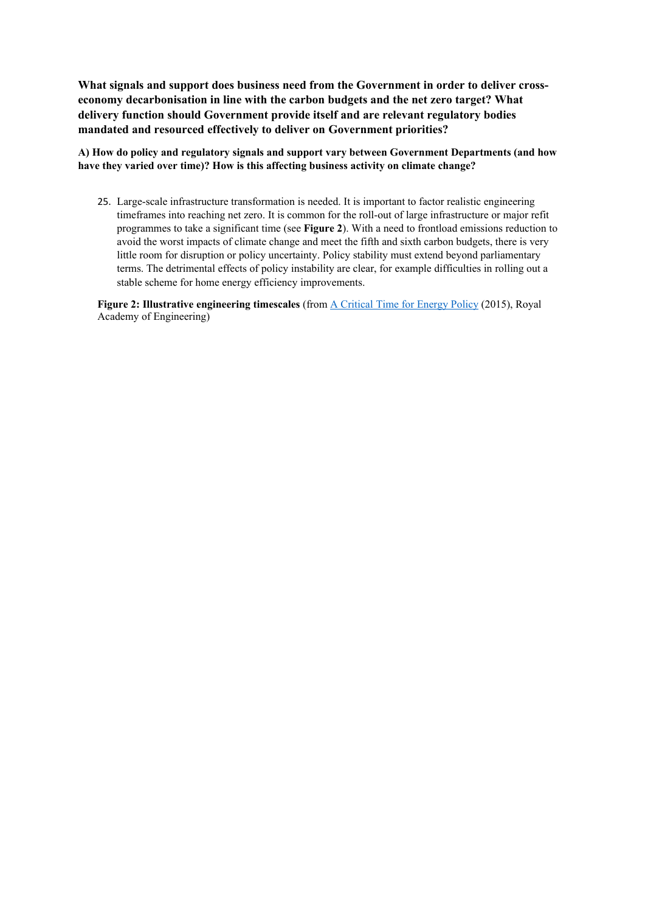**What signals and support does business need from the Government in order to deliver crosseconomy decarbonisation in line with the carbon budgets and the net zero target? What delivery function should Government provide itself and are relevant regulatory bodies mandated and resourced effectively to deliver on Government priorities?**

**A) How do policy and regulatory signals and support vary between Government Departments (and how have they varied over time)? How is this affecting business activity on climate change?**

25. Large-scale infrastructure transformation is needed. It is important to factor realistic engineering timeframes into reaching net zero. It is common for the roll-out of large infrastructure or major refit programmes to take a significant time (see **Figure 2**). With a need to frontload emissions reduction to avoid the worst impacts of climate change and meet the fifth and sixth carbon budgets, there is very little room for disruption or policy uncertainty. Policy stability must extend beyond parliamentary terms. The detrimental effects of policy instability are clear, for example difficulties in rolling out a stable scheme for home energy efficiency improvements.

**Figure 2: Illustrative engineering timescales** (from [A](https://www.raeng.org.uk/publications/reports/a-critical-time-for-uk-energy-policy) [Critical](https://www.raeng.org.uk/publications/reports/a-critical-time-for-uk-energy-policy) [Time](https://www.raeng.org.uk/publications/reports/a-critical-time-for-uk-energy-policy) [for](https://www.raeng.org.uk/publications/reports/a-critical-time-for-uk-energy-policy) [Energy](https://www.raeng.org.uk/publications/reports/a-critical-time-for-uk-energy-policy) [Policy](https://www.raeng.org.uk/publications/reports/a-critical-time-for-uk-energy-policy) (2015), Royal Academy of Engineering)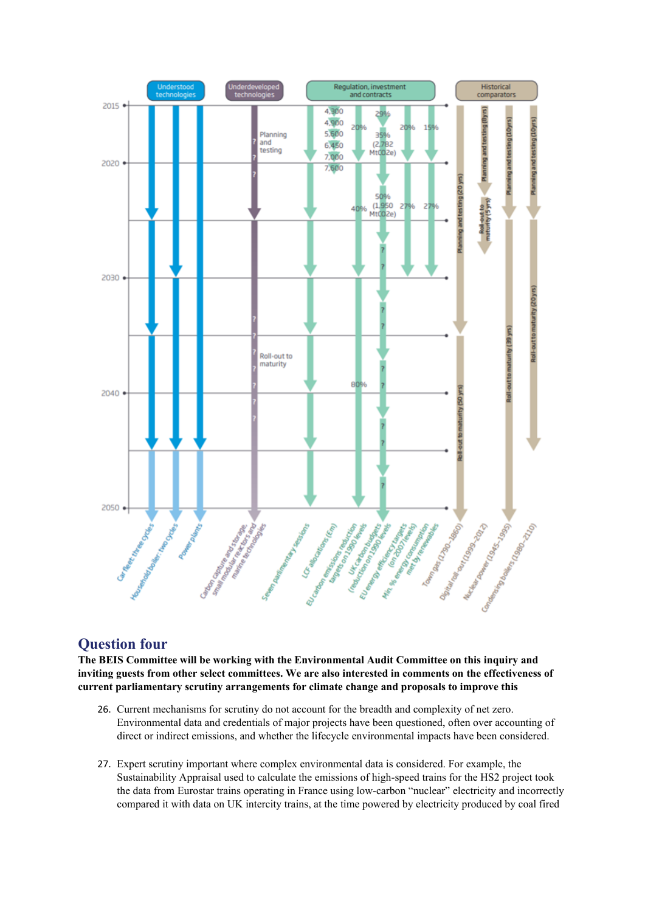

# **Question four**

**The BEIS Committee will be working with the Environmental Audit Committee on this inquiry and inviting guests from other select committees. We are also interested in comments on the effectiveness of current parliamentary scrutiny arrangements for climate change and proposals to improve this**

- 26. Current mechanisms for scrutiny do not account for the breadth and complexity of net zero. Environmental data and credentials of major projects have been questioned, often over accounting of direct or indirect emissions, and whether the lifecycle environmental impacts have been considered.
- 27. Expert scrutiny important where complex environmental data is considered. For example, the Sustainability Appraisal used to calculate the emissions of high-speed trains for the HS2 project took the data from Eurostar trains operating in France using low-carbon "nuclear" electricity and incorrectly compared it with data on UK intercity trains, at the time powered by electricity produced by coal fired